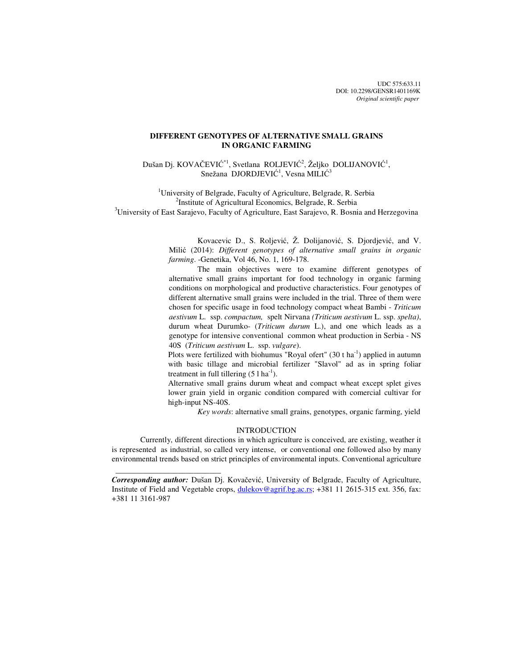UDC 575:633.11 DOI: 10.2298/GENSR1401169K *Original scientific paper*

# **DIFFERENT GENOTYPES OF ALTERNATIVE SMALL GRAINS IN ORGANIC FARMING**

Dušan Dj. KOVAČEVIĆ<sup>\*1</sup>, Svetlana ROLJEVIĆ<sup>2</sup>, Željko DOLIJANOVIĆ<sup>1</sup>, Snežana DJORDJEVIĆ<sup>1</sup>, Vesna MILIĆ<sup>3</sup>

<sup>1</sup>University of Belgrade, Faculty of Agriculture, Belgrade, R. Serbia <sup>2</sup>Institute of Agricultural Economics, Belgrade, R. Serbia <sup>3</sup>University of East Sarajevo, Faculty of Agriculture, East Sarajevo, R. Bosnia and Herzegovina

> Kovacevic D., S. Roljević, Ž. Dolijanović, S. Djordjević, and V. Milić (2014): *Different genotypes of alternative small grains in organic farming*. -Genetika, Vol 46, No. 1, 169-178.

> The main objectives were to examine different genotypes of alternative small grains important for food technology in organic farming conditions on morphological and productive characteristics. Four genotypes of different alternative small grains were included in the trial. Three of them were chosen for specific usage in food technology compact wheat Bambi - *Triticum aestivum* L. ssp. *compactum,* spelt Nirvana *(Triticum aestivum* L. ssp. *spelta)*, durum wheat Durumko- (*Triticum durum* L.), and one which leads as a genotype for intensive conventional common wheat production in Serbia - NS 40S (*Triticum aestivum* L. ssp. *vulgare*).

> Plots were fertilized with biohumus "Royal ofert" (30 t ha<sup>-1</sup>) applied in autumn with basic tillage and microbial fertilizer "Slavol" ad as in spring foliar treatment in full tillering  $(5 l ha<sup>-1</sup>)$ .

> Alternative small grains durum wheat and compact wheat except splet gives lower grain yield in organic condition compared with comercial cultivar for high-input NS-40S.

> > *Key words*: alternative small grains, genotypes, organic farming, yield

## INTRODUCTION

Currently, different directions in which agriculture is conceived, are existing, weather it is represented as industrial, so called very intense, or conventional one followed also by many environmental trends based on strict principles of environmental inputs. Conventional agriculture

*Corresponding author:* Dušan Dj. Kovačević, University of Belgrade, Faculty of Agriculture, Institute of Field and Vegetable crops, dulekov@agrif.bg.ac.rs; +381 11 2615-315 ext. 356, fax: +381 11 3161-987

 $\frac{1}{2}$  , and the set of the set of the set of the set of the set of the set of the set of the set of the set of the set of the set of the set of the set of the set of the set of the set of the set of the set of the set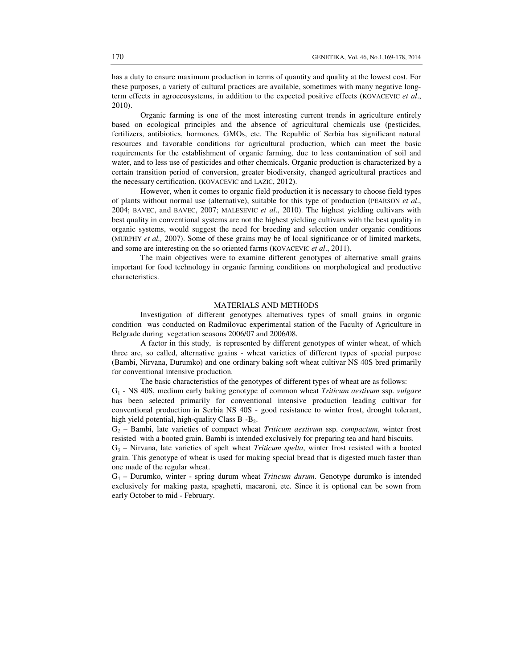has a duty to ensure maximum production in terms of quantity and quality at the lowest cost. For these purposes, a variety of cultural practices are available, sometimes with many negative longterm effects in agroecosystems, in addition to the expected positive effects (KOVACEVIC *et al*., 2010).

Organic farming is one of the most interesting current trends in agriculture entirely based on ecological principles and the absence of agricultural chemicals use (pesticides, fertilizers, antibiotics, hormones, GMOs, etc. The Republic of Serbia has significant natural resources and favorable conditions for agricultural production, which can meet the basic requirements for the establishment of organic farming, due to less contamination of soil and water, and to less use of pesticides and other chemicals. Organic production is characterized by a certain transition period of conversion, greater biodiversity, changed agricultural practices and the necessary certification. (KOVACEVIC and LAZIC, 2012).

However, when it comes to organic field production it is necessary to choose field types of plants without normal use (alternative), suitable for this type of production (PEARSON *et al*., 2004; BAVEC, and BAVEC, 2007; MALESEVIC *et al*., 2010). The highest yielding cultivars with best quality in conventional systems are not the highest yielding cultivars with the best quality in organic systems, would suggest the need for breeding and selection under organic conditions (MURPHY *et al.,* 2007). Some of these grains may be of local significance or of limited markets, and some are interesting on the so oriented farms (KOVACEVIC *et al*., 2011).

The main objectives were to examine different genotypes of alternative small grains important for food technology in organic farming conditions on morphological and productive characteristics.

## MATERIALS AND METHODS

Investigation of different genotypes alternatives types of small grains in organic condition was conducted on Radmilovac experimental station of the Faculty of Agriculture in Belgrade during vegetation seasons 2006/07 and 2006/08.

A factor in this study, is represented by different genotypes of winter wheat, of which three are, so called, alternative grains - wheat varieties of different types of special purpose (Bambi, Nirvana, Durumko) and one ordinary baking soft wheat cultivar NS 40S bred primarily for conventional intensive production.

The basic characteristics of the genotypes of different types of wheat are as follows:

G1 - NS 40S, medium early baking genotype of common wheat *Triticum aestivum* ssp. *vulgare* has been selected primarily for conventional intensive production leading cultivar for conventional production in Serbia NS 40S - good resistance to winter frost, drought tolerant, high yield potential, high-quality Class  $B_1 - B_2$ .

G2 – Bambi, late varieties of compact wheat *Triticum aestivum* ssp. *compactum*, winter frost resisted with a booted grain. Bambi is intended exclusively for preparing tea and hard biscuits.

 $G_3$  – Nirvana, late varieties of spelt wheat *Triticum spelta*, winter frost resisted with a booted grain. This genotype of wheat is used for making special bread that is digested much faster than one made of the regular wheat.

G4 – Durumko, winter - spring durum wheat *Triticum durum*. Genotype durumko is intended exclusively for making pasta, spaghetti, macaroni, etc. Since it is optional can be sown from early October to mid - February.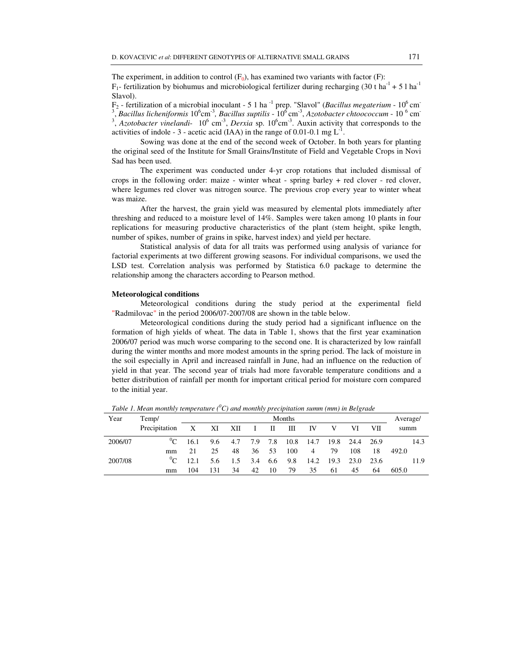The experiment, in addition to control  $(F_0)$ , has examined two variants with factor  $(F)$ :  $F_1$ - fertilization by biohumus and microbiological fertilizer during recharging (30 t ha<sup>-1</sup> + 5 l ha<sup>-1</sup> Slavol).

F<sub>2</sub> - fertilization of a microbial inoculant - 5 1 ha<sup>-1</sup> prep. "Slavol" (*Bacillus megaterium* - 10<sup>6</sup> cm<sup>-</sup> <sup>3</sup>, Bacillus licheniformis 10<sup>6</sup>cm<sup>-3</sup>, Bacillus suptilis - 10<sup>6</sup> cm<sup>-3</sup>, Azotobacter chtoococcum - 10<sup>-6</sup> cm<sup>-</sup>  $3$ , *Azotobacter vinelandi*- 10<sup>6</sup> cm<sup>-3</sup>, *Derxia* sp. 10<sup>6</sup>cm<sup>-3</sup>. Auxin activity that corresponds to the activities of indole - 3 - acetic acid (IAA) in the range of 0.01-0.1 mg  $L^{-1}$ . .

Sowing was done at the end of the second week of October. In both years for planting the original seed of the Institute for Small Grains/Institute of Field and Vegetable Crops in Novi Sad has been used.

The experiment was conducted under 4-yr crop rotations that included dismissal of crops in the following order: maize - winter wheat - spring barley + red clover - red clover, where legumes red clover was nitrogen source. The previous crop every year to winter wheat was maize.

After the harvest, the grain yield was measured by elemental plots immediately after threshing and reduced to a moisture level of 14%. Samples were taken among 10 plants in four replications for measuring productive characteristics of the plant (stem height, spike length, number of spikes, number of grains in spike, harvest index) and yield per hectare.

Statistical analysis of data for all traits was performed using analysis of variance for factorial experiments at two different growing seasons. For individual comparisons, we used the LSD test. Correlation analysis was performed by Statistica 6.0 package to determine the relationship among the characters according to Pearson method.

#### **Meteorological conditions**

Meteorological conditions during the study period at the experimental field "Radmilovac" in the period 2006/07-2007/08 are shown in the table below.

Meteorological conditions during the study period had a significant influence on the formation of high yields of wheat. The data in Table 1, shows that the first year examination 2006/07 period was much worse comparing to the second one. It is characterized by low rainfall during the winter months and more modest amounts in the spring period. The lack of moisture in the soil especially in April and increased rainfall in June, had an influence on the reduction of yield in that year. The second year of trials had more favorable temperature conditions and a better distribution of rainfall per month for important critical period for moisture corn compared to the initial year.

| Year    | Temp/         |      | Months |     |         |     |      |      |      |      |       | Average/ |
|---------|---------------|------|--------|-----|---------|-----|------|------|------|------|-------|----------|
|         | Precipitation | X    | XI     | XII | $\perp$ | П   | Ш    | IV   |      | VI   | VII   | summ     |
| 2006/07 | $^0C$         | 16.1 | 9.6    | 4.7 | 7.9     | 7.8 | 10.8 | 14.7 | 19.8 | 24.4 | -26.9 | 14.3     |
|         | mm            | 21   | 25     | 48  | 36      | 53  | 100  | 4    | 79   | 108  | 18    | 492.0    |
| 2007/08 | $^{0}C$       | 12.1 | 5.6    | 1.5 | 3.4     | 6.6 | 9.8  | 14.2 | 19.3 | 23.0 | 23.6  | 11.9     |
|         | mm            | 104  | 131    | 34  | 42      | 10  | 79   | 35   | 61   | 45   | 64    | 605.0    |

*Table 1. Mean monthly temperature (<sup>0</sup>C) and monthly precipitation summ (mm) in Belgrade*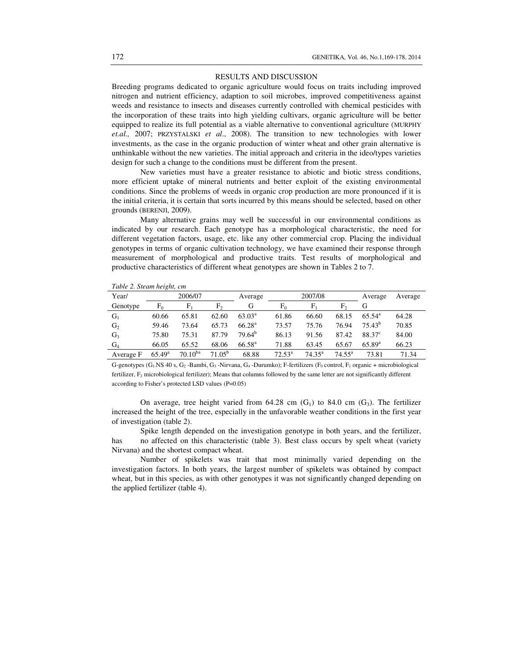#### RESULTS AND DISCUSSION

Breeding programs dedicated to organic agriculture would focus on traits including improved nitrogen and nutrient efficiency, adaption to soil microbes, improved competitiveness against weeds and resistance to insects and diseases currently controlled with chemical pesticides with the incorporation of these traits into high yielding cultivars, organic agriculture will be better equipped to realize its full potential as a viable alternative to conventional agriculture (MURPHY *et.al.,* 2007; PRZYSTALSKI *et al*., 2008). The transition to new technologies with lower investments, as the case in the organic production of winter wheat and other grain alternative is unthinkable without the new varieties. The initial approach and criteria in the ideo/types varieties design for such a change to the conditions must be different from the present.

New varieties must have a greater resistance to abiotic and biotic stress conditions, more efficient uptake of mineral nutrients and better exploit of the existing environmental conditions. Since the problems of weeds in organic crop production are more pronounced if it is the initial criteria, it is certain that sorts incurred by this means should be selected, based on other grounds (BERENJI, 2009).

Many alternative grains may well be successful in our environmental conditions as indicated by our research. Each genotype has a morphological characteristic, the need for different vegetation factors, usage, etc. like any other commercial crop. Placing the individual genotypes in terms of organic cultivation technology, we have examined their response through measurement of morphological and productive traits. Test results of morphological and productive characteristics of different wheat genotypes are shown in Tables 2 to 7.

|  |  |  | Table 2. Steam height, cm |  |
|--|--|--|---------------------------|--|
|--|--|--|---------------------------|--|

| Year/          |                 | 2006/07      |             | Average            |                 | 2007/08         |                 | Average         | Average |  |
|----------------|-----------------|--------------|-------------|--------------------|-----------------|-----------------|-----------------|-----------------|---------|--|
| Genotype       | $F_0$           |              | F,          | G                  | $F_0$           | F               | F,              | G               |         |  |
| $G_1$          | 60.66           | 65.81        | 62.60       | $63.03^{\rm a}$    | 61.86           | 66.60           | 68.15           | $65.54^{\rm a}$ | 64.28   |  |
| G <sub>2</sub> | 59.46           | 73.64        | 65.73       | 66.28 <sup>a</sup> | 73.57           | 75.76           | 76.94           | $75.43^{b}$     | 70.85   |  |
| G <sub>3</sub> | 75.80           | 75.31        | 87.79       | 79.64 <sup>b</sup> | 86.13           | 91.56           | 87.42           | $88.37^{\circ}$ | 84.00   |  |
| $G_4$          | 66.05           | 65.52        | 68.06       | $66.58^{\rm a}$    | 71.88           | 63.45           | 65.67           | $65.89^{a}$     | 66.23   |  |
| Average F      | $65.49^{\rm a}$ | $70.10^{ba}$ | $71.05^{b}$ | 68.88              | $72.53^{\rm a}$ | $74.35^{\circ}$ | $74.55^{\rm a}$ | 73.81           | 71.34   |  |

G-genotypes (G<sub>1</sub>.NS 40 s, G<sub>2</sub> -Bambi, G<sub>3</sub> -Nirvana, G<sub>4</sub> -Durumko); F-fertilizers (F<sub>0</sub> control, F<sub>1</sub> organic + microbiological fertilizer,  $F_2$  microbiological fertilizer); Means that columns followed by the same letter are not significantly different according to Fisher's protected LSD values (P=0.05)

On average, tree height varied from  $64.28$  cm  $(G_1)$  to  $84.0$  cm  $(G_3)$ . The fertilizer increased the height of the tree, especially in the unfavorable weather conditions in the first year of investigation (table 2).

Spike length depended on the investigation genotype in both years, and the fertilizer, has no affected on this characteristic (table 3). Best class occurs by spelt wheat (variety Nirvana) and the shortest compact wheat.

Number of spikelets was trait that most minimally varied depending on the investigation factors. In both years, the largest number of spikelets was obtained by compact wheat, but in this species, as with other genotypes it was not significantly changed depending on the applied fertilizer (table 4).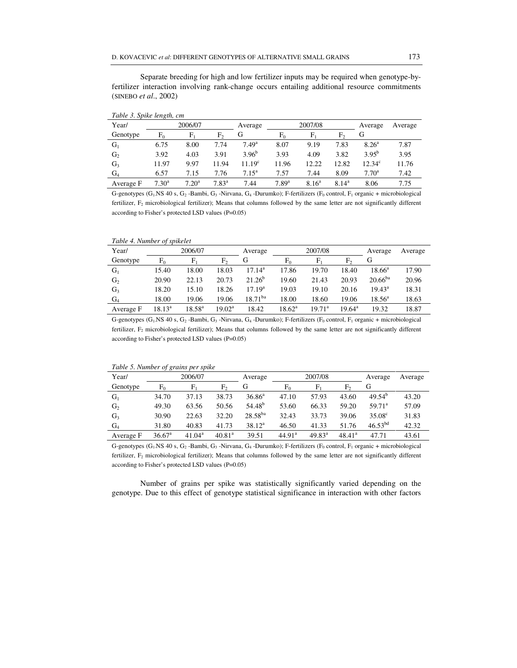Separate breeding for high and low fertilizer inputs may be required when genotype-byfertilizer interaction involving rank-change occurs entailing additional resource commitments (SINEBO *et al*., 2002)

| Tubic J. Spine tengin, em |                |                |                |                    |            |                |                |                 |         |  |
|---------------------------|----------------|----------------|----------------|--------------------|------------|----------------|----------------|-----------------|---------|--|
| Year/                     |                | 2006/07        |                | Average            |            | 2007/08        |                | Average         | Average |  |
| Genotype                  | $F_0$          | F,             | F,             | G                  | $F_0$      | F              | F <sub>2</sub> | G               |         |  |
| $G_1$                     | 6.75           | 8.00           | 7.74           | 7.49 <sup>a</sup>  | 8.07       | 9.19           | 7.83           | $8.26^{\circ}$  | 7.87    |  |
| G <sub>2</sub>            | 3.92           | 4.03           | 3.91           | $3.96^{b}$         | 3.93       | 4.09           | 3.82           | $3.95^{b}$      | 3.95    |  |
| $G_3$                     | 11.97          | 9.97           | 11.94          | 11.19 <sup>c</sup> | 11.96      | 12.22          | 12.82          | $12.34^{\circ}$ | 11.76   |  |
| $G_4$                     | 6.57           | 7.15           | 7.76           | $7.15^{\rm a}$     | 7.57       | 7.44           | 8.09           | $7.70^{\rm a}$  | 7.42    |  |
| Average F                 | $7.30^{\rm a}$ | $7.20^{\rm a}$ | $7.83^{\rm a}$ | 7.44               | $7.89^{a}$ | $8.16^{\rm a}$ | $8.14^{\rm a}$ | 8.06            | 7.75    |  |
|                           |                |                |                |                    |            |                |                |                 |         |  |

*Table 3. Spike length, cm* 

G-genotypes (G<sub>1</sub>.NS 40 s, G<sub>2</sub> -Bambi, G<sub>3</sub> -Nirvana, G<sub>4</sub> -Durumko); F-fertilizers (F<sub>0</sub> control, F<sub>1</sub> organic + microbiological fertilizer, F2 microbiological fertilizer); Means that columns followed by the same letter are not significantly different according to Fisher's protected LSD values (P=0.05)

*Table 4. Number of spikelet* 

| Year/          |                 | 2006/07         |                 | Average         |                 | 2007/08         |                 | Average         | Average |
|----------------|-----------------|-----------------|-----------------|-----------------|-----------------|-----------------|-----------------|-----------------|---------|
| Genotype       | F٥              |                 | $F_{2}$         | G               | F۵              |                 | F,              |                 |         |
| $G_1$          | 15.40           | 18.00           | 18.03           | $17.14^a$       | 17.86           | 19.70           | 18.40           | $18.66^a$       | 17.90   |
| G <sub>2</sub> | 20.90           | 22.13           | 20.73           | $21.26^{b}$     | 19.60           | 21.43           | 20.93           | $20.66^{ba}$    | 20.96   |
| G <sub>3</sub> | 18.20           | 15.10           | 18.26           | $17.19^{\rm a}$ | 19.03           | 19.10           | 20.16           | $19.43^{\rm a}$ | 18.31   |
| $G_4$          | 18.00           | 19.06           | 19.06           | $18.71^{ba}$    | 18.00           | 18.60           | 19.06           | $18.56^{\rm a}$ | 18.63   |
| Average F      | $18.13^{\rm a}$ | $18.58^{\rm a}$ | $19.02^{\rm a}$ | 18.42           | $18.62^{\rm a}$ | $19.71^{\rm a}$ | $19.64^{\rm a}$ | 19.32           | 18.87   |

G-genotypes (G<sub>1</sub>-NS 40 s, G<sub>2</sub> -Bambi, G<sub>3</sub> -Nirvana, G<sub>4</sub> -Durumko); F-fertilizers (F<sub>0</sub> control, F<sub>1</sub> organic + microbiological fertilizer, F2 microbiological fertilizer); Means that columns followed by the same letter are not significantly different according to Fisher's protected LSD values (P=0.05)

|  | Table 5. Number of grains per spike |
|--|-------------------------------------|
|  |                                     |

|                | $\cdot$            |                    |                    |                    |                    |                 |                 |                    |         |
|----------------|--------------------|--------------------|--------------------|--------------------|--------------------|-----------------|-----------------|--------------------|---------|
| Year/          |                    | 2006/07            |                    | Average            |                    | 2007/08         |                 | Average            | Average |
| Genotype       | $F_0$              | F,                 | F,                 | G                  | $F_0$              | F,              | F <sub>2</sub>  | G                  |         |
| $G_1$          | 34.70              | 37.13              | 38.73              | $36.86^{\rm a}$    | 47.10              | 57.93           | 43.60           | $49.54^{b}$        | 43.20   |
| G <sub>2</sub> | 49.30              | 63.56              | 50.56              | 54.48 <sup>b</sup> | 53.60              | 66.33           | 59.20           | 59.71 <sup>a</sup> | 57.09   |
| G <sub>3</sub> | 30.90              | 22.63              | 32.20              | $28.58^{ba}$       | 32.43              | 33.73           | 39.06           | $35.08^{\circ}$    | 31.83   |
| $G_4$          | 31.80              | 40.83              | 41.73              | $38.12^a$          | 46.50              | 41.33           | 51.76           | $46.53^{bd}$       | 42.32   |
| Average F      | 36.67 <sup>a</sup> | 41.04 <sup>a</sup> | 40.81 <sup>a</sup> | 39.51              | 44.91 <sup>a</sup> | $49.83^{\circ}$ | $48.41^{\circ}$ | 47.71              | 43.61   |

G-genotypes (G<sub>1</sub>.NS 40 s, G<sub>2</sub> -Bambi, G<sub>3</sub> -Nirvana, G<sub>4</sub> -Durumko); F-fertilizers (F<sub>0</sub> control, F<sub>1</sub> organic + microbiological fertilizer, F2 microbiological fertilizer); Means that columns followed by the same letter are not significantly different according to Fisher's protected LSD values (P=0.05)

Number of grains per spike was statistically significantly varied depending on the genotype. Due to this effect of genotype statistical significance in interaction with other factors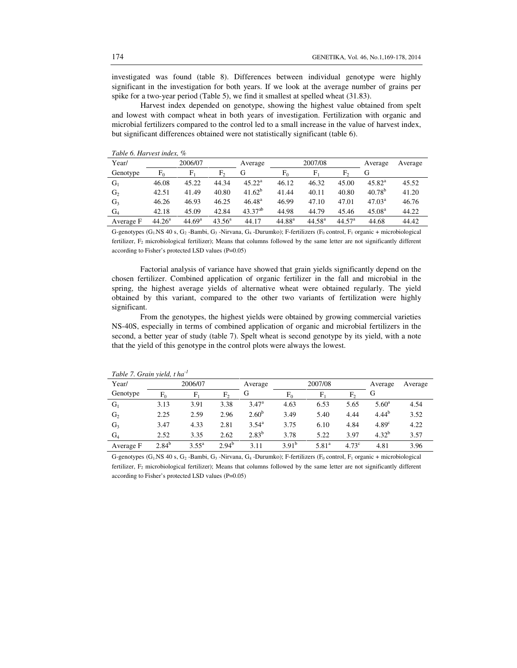investigated was found (table 8). Differences between individual genotype were highly significant in the investigation for both years. If we look at the average number of grains per spike for a two-year period (Table 5), we find it smallest at spelled wheat (31.83).

Harvest index depended on genotype, showing the highest value obtained from spelt and lowest with compact wheat in both years of investigation. Fertilization with organic and microbial fertilizers compared to the control led to a small increase in the value of harvest index, but significant differences obtained were not statistically significant (table 6).

| Year/          |                    | 2006/07            |                 | Average         |             | 2007/08     |                    | Average            | Average |
|----------------|--------------------|--------------------|-----------------|-----------------|-------------|-------------|--------------------|--------------------|---------|
| Genotype       | $F_0$              | F,                 | F,              | G               | F۵          | E.          | F,                 | G                  |         |
| $G_1$          | 46.08              | 45.22              | 44.34           | $45.22^{\rm a}$ | 46.12       | 46.32       | 45.00              | $45.82^{\rm a}$    | 45.52   |
| G <sub>2</sub> | 42.51              | 41.49              | 40.80           | $41.62^{b}$     | 41.44       | 40.11       | 40.80              | $40.78^{b}$        | 41.20   |
| G3             | 46.26              | 46.93              | 46.25           | $46.48^{\rm a}$ | 46.99       | 47.10       | 47.01              | 47.03 <sup>a</sup> | 46.76   |
| $G_4$          | 42.18              | 45.09              | 42.84           | $43.37^{ab}$    | 44.98       | 44.79       | 45.46              | 45.08 <sup>a</sup> | 44.22   |
| Average F      | 44.26 <sup>a</sup> | 44.69 <sup>a</sup> | $43.56^{\circ}$ | 44.17           | $44.88^{a}$ | $44.58^{a}$ | 44.57 <sup>a</sup> | 44.68              | 44.42   |

*Table 6. Harvest index, %* 

G-genotypes (G<sub>1</sub>-NS 40 s, G<sub>2</sub> -Bambi, G<sub>3</sub> -Nirvana, G<sub>4</sub> -Durumko); F-fertilizers (F<sub>0</sub> control, F<sub>1</sub> organic + microbiological fertilizer, F2 microbiological fertilizer); Means that columns followed by the same letter are not significantly different according to Fisher's protected LSD values (P=0.05)

Factorial analysis of variance have showed that grain yields significantly depend on the chosen fertilizer. Combined application of organic fertilizer in the fall and microbial in the spring, the highest average yields of alternative wheat were obtained regularly. The yield obtained by this variant, compared to the other two variants of fertilization were highly significant.

From the genotypes, the highest yields were obtained by growing commercial varieties NS-40S, especially in terms of combined application of organic and microbial fertilizers in the second, a better year of study (table 7). Spelt wheat is second genotype by its yield, with a note that the yield of this genotype in the control plots were always the lowest.

| Year/          |            | 2006/07        |            | Average        |            | 2007/08        |                   | Average           | Average |
|----------------|------------|----------------|------------|----------------|------------|----------------|-------------------|-------------------|---------|
| Genotype       | $F_0$      | ${\rm F}_1$    | F,         | G              | $F_0$      | F,             | F,                | G                 |         |
| $G_1$          | 3.13       | 3.91           | 3.38       | $3.47^{\rm a}$ | 4.63       | 6.53           | 5.65              | $5.60^{\rm a}$    | 4.54    |
| G <sub>2</sub> | 2.25       | 2.59           | 2.96       | $2.60^{b}$     | 3.49       | 5.40           | 4.44              | $4.44^{b}$        | 3.52    |
| $G_3$          | 3.47       | 4.33           | 2.81       | $3.54^{\rm a}$ | 3.75       | 6.10           | 4.84              | 4.89 <sup>c</sup> | 4.22    |
| $G_4$          | 2.52       | 3.35           | 2.62       | $2.83^{b}$     | 3.78       | 5.22           | 3.97              | $4.32^{b}$        | 3.57    |
| Average F      | $2.84^{b}$ | $3.55^{\rm a}$ | $2.94^{b}$ | 3.11           | $3.91^{b}$ | $5.81^{\circ}$ | 4.73 <sup>c</sup> | 4.81              | 3.96    |

*Table 7. Grain yield, t ha-1* 

G-genotypes  $(G_1)$ NS 40 s,  $G_2$ -Bambi,  $G_3$ -Nirvana,  $G_4$ -Durumko); F-fertilizers (F<sub>0</sub> control, F<sub>1</sub> organic + microbiological fertilizer, F2 microbiological fertilizer); Means that columns followed by the same letter are not significantly different according to Fisher's protected LSD values (P=0.05)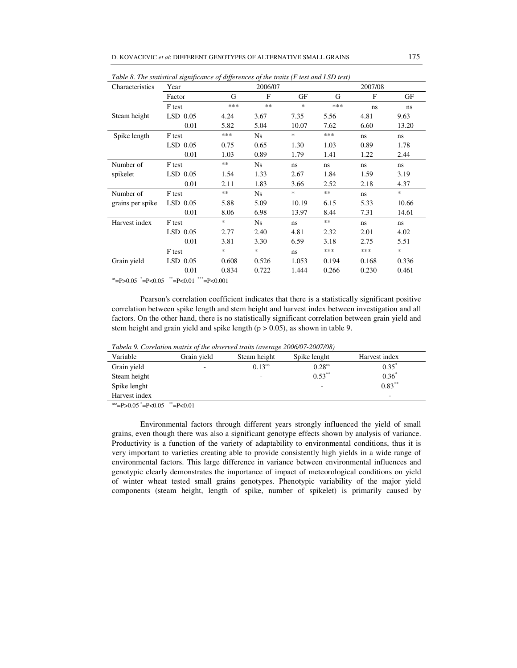|                  | Table 6. The statistical significance of afferences of the traits (F test and LSD test) |        |           |        |            |              |        |
|------------------|-----------------------------------------------------------------------------------------|--------|-----------|--------|------------|--------------|--------|
| Characteristics  | Year                                                                                    |        | 2006/07   |        |            | 2007/08      |        |
|                  | Factor                                                                                  | G      | F         | GF     | G          | $\mathbf{F}$ | GF     |
|                  | F test                                                                                  | ***    | $**$      | $\ast$ | ***        | ns           | ns     |
| Steam height     | $LSD$ 0.05                                                                              | 4.24   | 3.67      | 7.35   | 5.56       | 4.81         | 9.63   |
|                  | 0.01                                                                                    | 5.82   | 5.04      | 10.07  | 7.62       | 6.60         | 13.20  |
| Spike length     | F test                                                                                  | ***    | Ns        | *      | ***        | ns           | ns.    |
|                  | $LSD$ 0.05                                                                              | 0.75   | 0.65      | 1.30   | 1.03       | 0.89         | 1.78   |
|                  | 0.01                                                                                    | 1.03   | 0.89      | 1.79   | 1.41       | 1.22         | 2.44   |
| Number of        | F test                                                                                  | $**$   | <b>Ns</b> | ns.    | ns.        | ns           | ns.    |
| spikelet         | $LSD$ 0.05                                                                              | 1.54   | 1.33      | 2.67   | 1.84       | 1.59         | 3.19   |
|                  | 0.01                                                                                    | 2.11   | 1.83      | 3.66   | 2.52       | 2.18         | 4.37   |
| Number of        | F test                                                                                  | $**$   | Ns.       | *      | **         | ns           | $\ast$ |
| grains per spike | $LSD$ 0.05                                                                              | 5.88   | 5.09      | 10.19  | 6.15       | 5.33         | 10.66  |
|                  | 0.01                                                                                    | 8.06   | 6.98      | 13.97  | 8.44       | 7.31         | 14.61  |
| Harvest index    | F test                                                                                  | $\ast$ | Ns        | ns.    | $\ast\ast$ | ns           | ns.    |
|                  | $LSD$ 0.05                                                                              | 2.77   | 2.40      | 4.81   | 2.32       | 2.01         | 4.02   |
|                  | 0.01                                                                                    | 3.81   | 3.30      | 6.59   | 3.18       | 2.75         | 5.51   |
|                  | F test                                                                                  | *      | $\ast$    | ns.    | ***        | ***          | $\ast$ |
| Grain yield      | $LSD$ 0.05                                                                              | 0.608  | 0.526     | 1.053  | 0.194      | 0.168        | 0.336  |
|                  | 0.01                                                                                    | 0.834  | 0.722     | 1.444  | 0.266      | 0.230        | 0.461  |

*Table 8. The statistical significance of differences of the traits (F test and LSD test)* 

 $m = P > 0.05$   $^* = P < 0.05$   $^* = P < 0.01$   $^* = P < 0.001$ 

Pearson's correlation coefficient indicates that there is a statistically significant positive correlation between spike length and stem height and harvest index between investigation and all factors. On the other hand, there is no statistically significant correlation between grain yield and stem height and grain yield and spike length  $(p > 0.05)$ , as shown in table 9.

*Tabela 9. Corelation matrix of the observed traits (average 2006/07-2007/08)* 

| Grain vield | Steam height | Spike lenght       | Harvest index                                                                |
|-------------|--------------|--------------------|------------------------------------------------------------------------------|
| ٠           | $0.13^{ns}$  | 0.28 <sup>ns</sup> | $0.35^*$                                                                     |
|             | -            | $0.53***$          | $0.36*$                                                                      |
|             |              | -                  | $0.83***$                                                                    |
|             |              |                    | -                                                                            |
|             |              |                    | Tabela 9. Corelation matrix of the observed traits (average 2000/07-2007/06) |

 ${}^{nsz}$ =P>0.05  ${}^{*}$ =P<0.05  ${}^{**}$ =P<0.01

Environmental factors through different years strongly influenced the yield of small grains, even though there was also a significant genotype effects shown by analysis of variance. Productivity is a function of the variety of adaptability to environmental conditions, thus it is very important to varieties creating able to provide consistently high yields in a wide range of environmental factors. This large difference in variance between environmental influences and genotypic clearly demonstrates the importance of impact of meteorological conditions on yield of winter wheat tested small grains genotypes. Phenotypic variability of the major yield components (steam height, length of spike, number of spikelet) is primarily caused by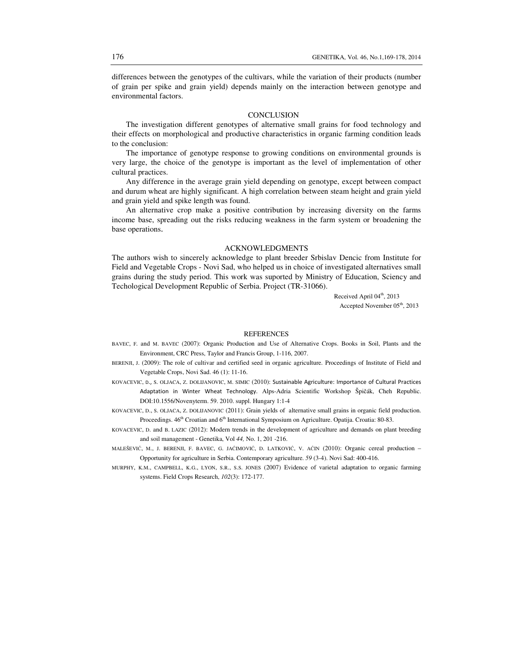differences between the genotypes of the cultivars, while the variation of their products (number of grain per spike and grain yield) depends mainly on the interaction between genotype and environmental factors.

### **CONCLUSION**

The investigation different genotypes of alternative small grains for food technology and their effects on morphological and productive characteristics in organic farming condition leads to the conclusion:

The importance of genotype response to growing conditions on environmental grounds is very large, the choice of the genotype is important as the level of implementation of other cultural practices.

Any difference in the average grain yield depending on genotype, except between compact and durum wheat are highly significant. A high correlation between steam height and grain yield and grain yield and spike length was found.

An alternative crop make a positive contribution by increasing diversity on the farms income base, spreading out the risks reducing weakness in the farm system or broadening the base operations.

### ACKNOWLEDGMENTS

The authors wish to sincerely acknowledge to plant breeder Srbislav Dencic from Institute for Field and Vegetable Crops - Novi Sad, who helped us in choice of investigated alternatives small grains during the study period. This work was suported by Ministry of Education, Sciency and Techological Development Republic of Serbia. Project (TR-31066).

> Received April 04<sup>th</sup>, 2013 Accepted November 05<sup>th</sup>, 2013

### **REFERENCES**

- BAVEC, F. and M. BAVEC (2007): Organic Production and Use of Alternative Crops. Books in Soil, Plants and the Environment, CRC Press, Taylor and Francis Group, 1-116, 2007.
- BERENJI, J. (2009): The role of cultivar and certified seed in organic agriculture. Proceedings of Institute of Field and Vegetable Crops, Novi Sad. 46 (1): 11-16.
- KOVACEVIC, D., S. OLJACA, Z. DOLIJANOVIC, M. SIMIC (2010): Sustainable Agriculture: Importance of Cultural Practices Adaptation in Winter Wheat Technology. Alps-Adria Scientific Workshop Špičák, Cheh Republic. DOI:10.1556/Novenyterm. 59. 2010. suppl. Hungary 1:1-4
- KOVACEVIC, D., S. OLJACA, Z. DOLIJANOVIC (2011): Grain yields of alternative small grains in organic field production. Proceedings. 46<sup>th</sup> Croatian and 6<sup>th</sup> International Symposium on Agriculture. Opatija. Croatia: 80-83.
- KOVACEVIC, D. and B. LAZIC (2012): Modern trends in the development of agriculture and demands on plant breeding and soil management - Genetika, Vol *44,* No. 1, 201 -216.
- MALEŠEVIĆ, M., J. BERENJI, F. BAVEC, G. JAĆIMOVIĆ, D. LATKOVIĆ, V. AĆIN (2010): Organic cereal production Opportunity for agriculture in Serbia. Contemporary agriculture. *59* (3-4). Novi Sad: 400-416.
- MURPHY, K.M., CAMPBELL, K.G., LYON, S.R., S.S. JONES (2007) Evidence of varietal adaptation to organic farming systems. Field Crops Research, *102*(3): 172-177.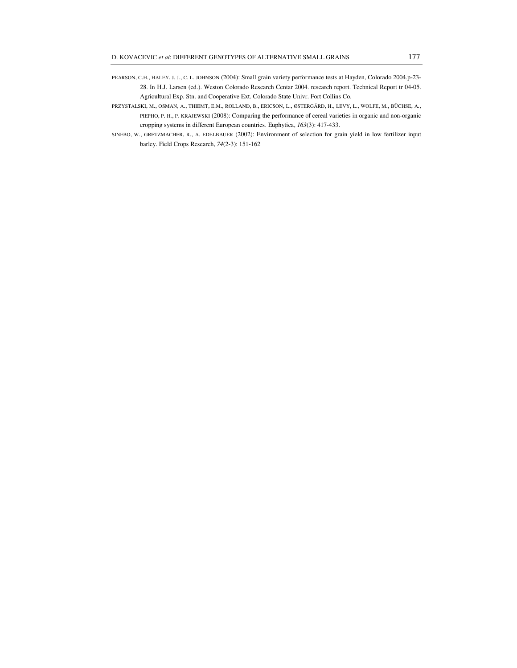- PEARSON, C.H., HALEY, J. J., C. L. JOHNSON (2004): Small grain variety performance tests at Hayden, Colorado 2004.p-23- 28. In H.J. Larsen (ed.). Weston Colorado Research Centar 2004. research report. Technical Report tr 04-05. Agricultural Exp. Stn. and Cooperative Ext. Colorado State Univr. Fort Collins Co.
- PRZYSTALSKI, M., OSMAN, A., THIEMT, E.M., ROLLAND, B., ERICSON, L., ØSTERGÄRD, H., LEVY, L., WOLFE, M., BÜCHSE, A., PIEPHO, P. H., P. KRAJEWSKI (2008): Comparing the performance of cereal varieties in organic and non-organic cropping systems in different European countries. Euphytica, *163*(3): 417-433.
- SINEBO, W., GRETZMACHER, R., A. EDELBAUER (2002): Environment of selection for grain yield in low fertilizer input barley. Field Crops Research, *74*(2-3): 151-162